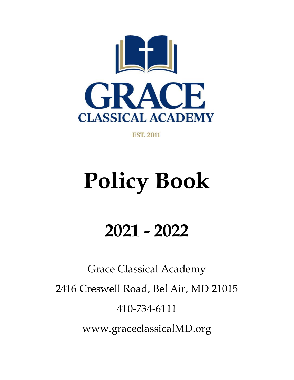

**EST. 2011** 

# **Policy Book**

## **2021 - 2022**

## Grace Classical Academy 2416 Creswell Road, Bel Air, MD 21015 410-734-6111 www.graceclassicalMD.org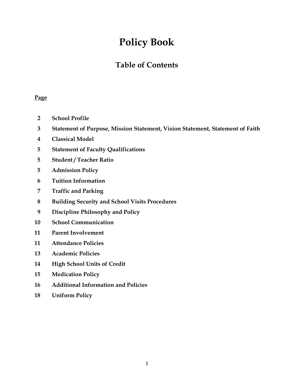## **Policy Book**

## **Table of Contents**

#### **Page**

- **School Profile**
- **Statement of Purpose, Mission Statement, Vision Statement, Statement of Faith**
- **Classical Model**
- **Statement of Faculty Qualifications**
- **Student / Teacher Ratio**
- **Admission Policy**
- **Tuition Information**
- **Traffic and Parking**
- **Building Security and School Visits Procedures**
- **Discipline Philosophy and Policy**
- **School Communication**
- **Parent Involvement**
- **Attendance Policies**
- **13 Academic Policies**
- **High School Units of Credit**
- **Medication Policy**
- **Additional Information and Policies**
- **Uniform Policy**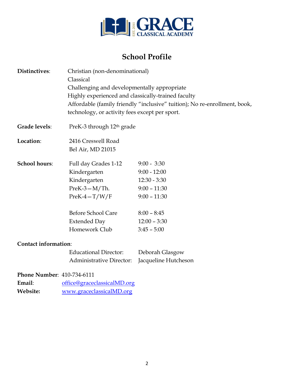

## **School Profile**

| Distinctives:                     | Christian (non-denominational)<br>Classical<br>Challenging and developmentally appropriate<br>Highly experienced and classically-trained faculty<br>Affordable (family friendly "inclusive" tuition); No re-enrollment, book,<br>technology, or activity fees except per sport. |                                                                                                                                           |  |
|-----------------------------------|---------------------------------------------------------------------------------------------------------------------------------------------------------------------------------------------------------------------------------------------------------------------------------|-------------------------------------------------------------------------------------------------------------------------------------------|--|
| <b>Grade levels:</b>              | PreK-3 through 12 <sup>th</sup> grade                                                                                                                                                                                                                                           |                                                                                                                                           |  |
| Location:                         | 2416 Creswell Road<br>Bel Air, MD 21015                                                                                                                                                                                                                                         |                                                                                                                                           |  |
| <b>School hours:</b>              | Full day Grades 1-12<br>Kindergarten<br>Kindergarten<br>$PreK-3-M/Th.$<br>$PreK-4-T/W/F$<br><b>Before School Care</b><br><b>Extended Day</b><br>Homework Club                                                                                                                   | $9:00 - 3:30$<br>$9:00 - 12:00$<br>$12:30 - 3:30$<br>$9:00 - 11:30$<br>$9:00 - 11:30$<br>$8:00 - 8:45$<br>$12:00 - 3:30$<br>$3:45 - 5:00$ |  |
| <b>Contact information:</b>       | <b>Educational Director:</b>                                                                                                                                                                                                                                                    | Deborah Glasgow                                                                                                                           |  |
|                                   | <b>Administrative Director:</b>                                                                                                                                                                                                                                                 | Jacqueline Hutcheson                                                                                                                      |  |
| <b>Phone Number: 410-734-6111</b> |                                                                                                                                                                                                                                                                                 |                                                                                                                                           |  |
| Email:                            | office@graceclassicalMD.org                                                                                                                                                                                                                                                     |                                                                                                                                           |  |

**Website:** [www.graceclassicalMD.org](http://www.graceclassicalmd.org/)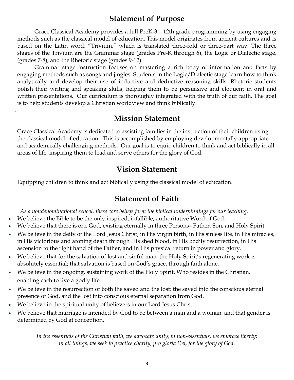#### **Statement of Purpose**

 Grace Classical Academy provides a full PreK-3 – 12th grade programming by using engaging methods such as the classical model of education. This model originates from ancient cultures and is based on the Latin word, "Trivium," which is translated three-fold or three-part way. The three stages of the Trivium are the Grammar stage (grades Pre-K through 6), the Logic or Dialectic stage, (grades 7-8), and the Rhetoric stage (grades 9-12).

Grammar stage instruction focuses on mastering a rich body of information and facts by engaging methods such as songs and jingles. Students in the Logic/Dialectic stage learn how to think analytically and develop their use of inductive and deductive reasoning skills. Rhetoric students polish their writing and speaking skills, helping them to be persuasive and eloquent in oral and written presentations. Our curriculum is thoroughly integrated with the truth of our faith. The goal is to help students develop a Christian worldview and think biblically.

#### **Mission Statement**

Grace Classical Academy is dedicated to assisting families in the instruction of their children using the classical model of education. This is accomplished by employing developmentally appropriate and academically challenging methods. Our goal is to equip children to think and act biblically in all areas of life, inspiring them to lead and serve others for the glory of God.

#### **Vision Statement**

Equipping children to think and act biblically using the classical model of education.

.

#### **Statement of Faith**

 *As a nondenominational school, these core beliefs form the biblical underpinnings for our teaching.* 

- We believe the Bible to be the only inspired, infallible, authoritative Word of God.
- We believe that there is one God, existing eternally in three Persons– Father, Son, and Holy Spirit.
- We believe in the deity of the Lord Jesus Christ, in His virgin birth, in His sinless life, in His miracles, in His victorious and atoning death through His shed blood, in His bodily resurrection, in His ascension to the right hand of the Father, and in His physical return in power and glory.
- We believe that for the salvation of lost and sinful man, the Holy Spirit's regenerating work is absolutely essential; that salvation is based on God's grace, through faith alone.
- We believe in the ongoing, sustaining work of the Holy Spirit, Who resides in the Christian, enabling each to live a godly life.
- We believe in the resurrection of both the saved and the lost; the saved into the conscious eternal presence of God, and the lost into conscious eternal separation from God.
- We believe in the spiritual unity of believers in our Lord Jesus Christ.
- We believe that marriage is intended by God to be between a man and a woman, and that gender is determined by God at conception.

*In the essentials of the Christian faith, we advocate unity; in non-essentials, we embrace liberty; in all things, we seek to practice charity, pro gloria Dei, for the glory of God.*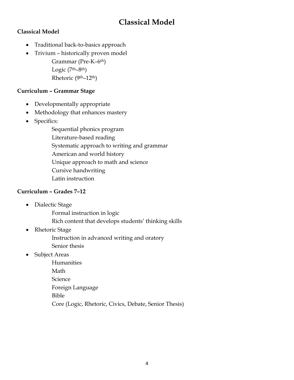## **Classical Model**

#### **Classical Model**

- Traditional back-to-basics approach
- Trivium historically proven model

Grammar (Pre-K–6th) Logic  $(7<sup>th</sup>-8<sup>th</sup>)$ Rhetoric (9th–12th)

#### **Curriculum – Grammar Stage**

- Developmentally appropriate
- Methodology that enhances mastery
- Specifics:

Sequential phonics program Literature-based reading Systematic approach to writing and grammar American and world history Unique approach to math and science Cursive handwriting Latin instruction

#### **Curriculum – Grades 7–12**

- Dialectic Stage
	- Formal instruction in logic
	- Rich content that develops students' thinking skills
- Rhetoric Stage

Instruction in advanced writing and oratory Senior thesis

- Subject Areas
	- Humanities
	- Math
	- Science
	- Foreign Language
	- Bible
	- Core (Logic, Rhetoric, Civics, Debate, Senior Thesis)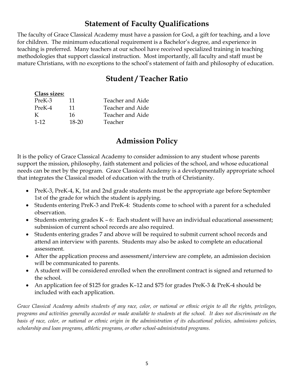## **Statement of Faculty Qualifications**

The faculty of Grace Classical Academy must have a passion for God, a gift for teaching, and a love for children. The minimum educational requirement is a Bachelor's degree, and experience in teaching is preferred. Many teachers at our school have received specialized training in teaching methodologies that support classical instruction. Most importantly, all faculty and staff must be mature Christians, with no exceptions to the school's statement of faith and philosophy of education.

## **Student / Teacher Ratio**

| <b>Class sizes:</b> |         |                  |
|---------------------|---------|------------------|
| PreK-3              | 11      | Teacher and Aide |
| $PreK-4$            | 11      | Teacher and Aide |
| K                   | 16      | Teacher and Aide |
| $1-12$              | $18-20$ | Teacher          |

## **Admission Policy**

It is the policy of Grace Classical Academy to consider admission to any student whose parents support the mission, philosophy, faith statement and policies of the school, and whose educational needs can be met by the program. Grace Classical Academy is a developmentally appropriate school that integrates the Classical model of education with the truth of Christianity.

- PreK-3, PreK-4, K, 1st and 2nd grade students must be the appropriate age before September 1st of the grade for which the student is applying.
- Students entering PreK-3 and PreK-4: Students come to school with a parent for a scheduled observation.
- Students entering grades K 6: Each student will have an individual educational assessment; submission of current school records are also required.
- Students entering grades 7 and above will be required to submit current school records and attend an interview with parents. Students may also be asked to complete an educational assessment.
- After the application process and assessment/interview are complete, an admission decision will be communicated to parents.
- A student will be considered enrolled when the enrollment contract is signed and returned to the school.
- An application fee of \$125 for grades K–12 and \$75 for grades PreK-3 & PreK-4 should be included with each application.

*Grace Classical Academy admits students of any race, color, or national or ethnic origin to all the rights, privileges, programs and activities generally accorded or made available to students at the school. It does not discriminate on the basis of race, color, or national or ethnic origin in the administration of its educational policies, admissions policies, scholarship and loan programs, athletic programs, or other school-administrated programs.*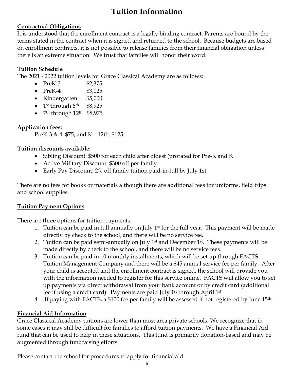## **Tuition Information**

#### **Contractual Obligations**

It is understood that the enrollment contract is a legally binding contract. Parents are bound by the terms stated in the contract when it is signed and returned to the school. Because budgets are based on enrollment contracts, it is not possible to release families from their financial obligation unless there is an extreme situation. We trust that families will honor their word.

#### **Tuition Schedule**

The 2021 - 2022 tuition levels for Grace Classical Academy are as follows:

- PreK-3 \$2,375
- PreK-4 \$3,025
- Kindergarten \$5,000
- $\bullet$  1<sup>st</sup> through 6<sup>th</sup> \$8,925
- $7<sup>th</sup>$  through  $12<sup>th</sup>$  \$8,975

#### **Application fees:**

PreK-3 & 4: \$75, and K – 12th: \$125

#### **Tuition discounts available:**

- Sibling Discount: \$500 for each child after oldest (prorated for Pre-K and K
- Active Military Discount: \$300 off per family
- Early Pay Discount: 2% off family tuition paid-in-full by July 1st

There are no fees for books or materials although there are additional fees for uniforms, field trips and school supplies.

#### **Tuition Payment Options**

There are three options for tuition payments.

- 1. Tuition can be paid in full annually on July  $1<sup>st</sup>$  for the full year. This payment will be made directly by check to the school, and there will be no service fee.
- 2. Tuition can be paid semi-annually on July 1<sup>st</sup> and December 1<sup>st</sup>. These payments will be made directly by check to the school, and there will be no service fees.
- 3. Tuition can be paid in 10 monthly installments, which will be set up through FACTS Tuition Management Company and there will be a \$45 annual service fee per family. After your child is accepted and the enrollment contract is signed, the school will provide you with the information needed to register for this service online. FACTS will allow you to set up payments via direct withdrawal from your bank account or by credit card (additional fee if using a credit card). Payments are paid July 1st through April 1st.
- 4. If paying with FACTS, a \$100 fee per family will be assessed if not registered by June 15th.

#### **Financial Aid Information**

Grace Classical Academy tuitions are lower than most area private schools. We recognize that in some cases it may still be difficult for families to afford tuition payments. We have a Financial Aid fund that can be used to help in these situations. This fund is primarily donation-based and may be augmented through fundraising efforts.

Please contact the school for procedures to apply for financial aid.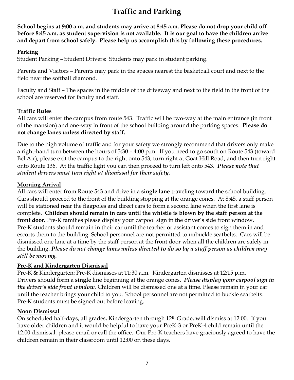## **Traffic and Parking**

**School begins at 9:00 a.m. and students may arrive at 8:45 a.m. Please do not drop your child off before 8:45 a.m. as student supervision is not available. It is our goal to have the children arrive and depart from school safely. Please help us accomplish this by following these procedures.** 

#### **Parking**

Student Parking – Student Drivers: Students may park in student parking.

Parents and Visitors – Parents may park in the spaces nearest the basketball court and next to the field near the softball diamond.

Faculty and Staff – The spaces in the middle of the driveway and next to the field in the front of the school are reserved for faculty and staff.

#### **Traffic Rules**

All cars will enter the campus from route 543. Traffic will be two-way at the main entrance (in front of the mansion) and one-way in front of the school building around the parking spaces. **Please do not change lanes unless directed by staff.** 

Due to the high volume of traffic and for your safety we strongly recommend that drivers only make a right-hand turn between the hours of 3:30 – 4:00 p.m. If you need to go south on Route 543 (toward Bel Air), please exit the campus to the right onto 543, turn right at Goat Hill Road, and then turn right onto Route 136. At the traffic light you can then proceed to turn left onto 543. *Please note that student drivers must turn right at dismissal for their safety.* 

#### **Morning Arrival**

All cars will enter from Route 543 and drive in a **single lane** traveling toward the school building. Cars should proceed to the front of the building stopping at the orange cones. At 8:45, a staff person will be stationed near the flagpoles and direct cars to form a second lane when the first lane is complete. **Children should remain in cars until the whistle is blown by the staff person at the front door.** Pre-K families please display your carpool sign in the driver's side front window. Pre-K students should remain in their car until the teacher or assistant comes to sign them in and escorts them to the building. School personnel are not permitted to unbuckle seatbelts. Cars will be dismissed one lane at a time by the staff person at the front door when all the children are safely in the building. *Please do not change lanes unless directed to do so by a staff person as children may still be moving.* 

#### **Pre-K and Kindergarten Dismissal**

Pre-K & Kindergarten: Pre-K dismisses at 11:30 a.m. Kindergarten dismisses at 12:15 p.m. Drivers should form a **single** line beginning at the orange cones. *Please display your carpool sign in the driver's side front window.* Children will be dismissed one at a time. Please remain in your car until the teacher brings your child to you. School personnel are not permitted to buckle seatbelts. Pre-K students must be signed out before leaving.

#### **Noon Dismissal**

On scheduled half-days, all grades, Kindergarten through 12th Grade, will dismiss at 12:00. If you have older children and it would be helpful to have your PreK-3 or PreK-4 child remain until the 12:00 dismissal, please email or call the office. Our Pre-K teachers have graciously agreed to have the children remain in their classroom until 12:00 on these days.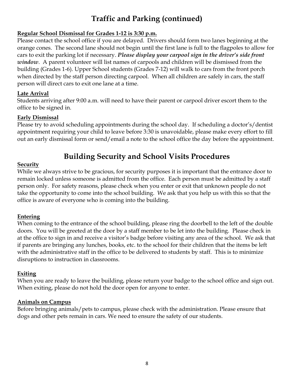## **Traffic and Parking (continued)**

#### **Regular School Dismissal for Grades 1-12 is 3:30 p.m.**

Please contact the school office if you are delayed. Drivers should form two lanes beginning at the orange cones. The second lane should not begin until the first lane is full to the flagpoles to allow for cars to exit the parking lot if necessary. *Please display your carpool sign in the driver's side front window*. A parent volunteer will list names of carpools and children will be dismissed from the building (Grades 1-6). Upper School students (Grades 7-12) will walk to cars from the front porch when directed by the staff person directing carpool. When all children are safely in cars, the staff person will direct cars to exit one lane at a time.

#### **Late Arrival**

Students arriving after 9:00 a.m. will need to have their parent or carpool driver escort them to the office to be signed in.

#### **Early Dismissal**

Please try to avoid scheduling appointments during the school day. If scheduling a doctor's/dentist appointment requiring your child to leave before 3:30 is unavoidable, please make every effort to fill out an early dismissal form or send/email a note to the school office the day before the appointment.

## **Building Security and School Visits Procedures**

#### **Security**

While we always strive to be gracious, for security purposes it is important that the entrance door to remain locked unless someone is admitted from the office. Each person must be admitted by a staff person only. For safety reasons, please check when you enter or exit that unknown people do not take the opportunity to come into the school building. We ask that you help us with this so that the office is aware of everyone who is coming into the building.

#### **Entering**

When coming to the entrance of the school building, please ring the doorbell to the left of the double doors. You will be greeted at the door by a staff member to be let into the building. Please check in at the office to sign in and receive a visitor's badge before visiting any area of the school. We ask that if parents are bringing any lunches, books, etc. to the school for their children that the items be left with the administrative staff in the office to be delivered to students by staff. This is to minimize disruptions to instruction in classrooms.

#### **Exiting**

When you are ready to leave the building, please return your badge to the school office and sign out. When exiting, please do not hold the door open for anyone to enter.

#### **Animals on Campus**

Before bringing animals/pets to campus, please check with the administration. Please ensure that dogs and other pets remain in cars. We need to ensure the safety of our students.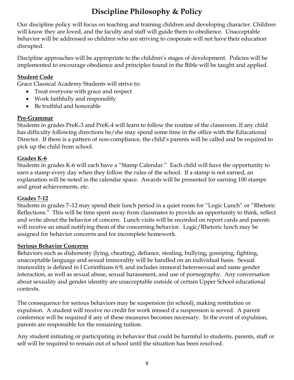## **Discipline Philosophy & Policy**

Our discipline policy will focus on teaching and training children and developing character. Children will know they are loved, and the faculty and staff will guide them to obedience. Unacceptable behavior will be addressed so children who are striving to cooperate will not have their education disrupted.

Discipline approaches will be appropriate to the children's stages of development. Policies will be implemented to encourage obedience and principles found in the Bible will be taught and applied.

#### **Student Code**

Grace Classical Academy Students will strive to:

- Treat everyone with grace and respect
- Work faithfully and responsibly
- Be truthful and honorable

#### **Pre-Grammar**

Students in grades PreK-3 and PreK-4 will learn to follow the routine of the classroom. If any child has difficulty following directions he/she may spend some time in the office with the Educational Director. If there is a pattern of non-compliance, the child's parents will be called and be required to pick up the child from school.

#### **Grades K-6**

Students in grades K-6 will each have a "Stamp Calendar." Each child will have the opportunity to earn a stamp every day when they follow the rules of the school. If a stamp is not earned, an explanation will be noted in the calendar space. Awards will be presented for earning 100 stamps and great achievements, etc.

#### **Grades 7-12**

Students in grades 7–12 may spend their lunch period in a quiet room for "Logic Lunch" or "Rhetoric Reflections." This will be time spent away from classmates to provide an opportunity to think, reflect and write about the behavior of concern. Lunch visits will be recorded on report cards and parents will receive an email notifying them of the concerning behavior. Logic/Rhetoric lunch may be assigned for behavior concerns and for incomplete homework.

#### **Serious Behavior Concerns**

Behaviors such as dishonesty (lying, cheating), defiance, stealing, bullying, gossiping, fighting, unacceptable language and sexual immorality will be handled on an individual basis. Sexual immorality is defined in I Corinthians 6:9, and includes immoral heterosexual and same gender interaction, as well as sexual abuse, sexual harassment, and use of pornography. Any conversation about sexuality and gender identity are unacceptable outside of certain Upper School educational contexts.

The consequence for serious behaviors may be suspension (in school), making restitution or expulsion. A student will receive no credit for work missed if a suspension is served. A parent conference will be required if any of these measures becomes necessary. In the event of expulsion, parents are responsible for the remaining tuition.

Any student initiating or participating in behavior that could be harmful to students, parents, staff or self will be required to remain out of school until the situation has been resolved.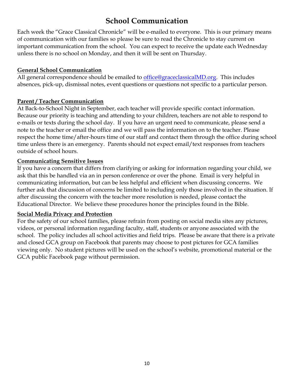### **School Communication**

Each week the "Grace Classical Chronicle" will be e-mailed to everyone. This is our primary means of communication with our families so please be sure to read the Chronicle to stay current on important communication from the school. You can expect to receive the update each Wednesday unless there is no school on Monday, and then it will be sent on Thursday.

#### **General School Communication**

All general correspondence should be emailed to [office@graceclassicalMD.org.](mailto:office@graceclassicalMD.org) This includes absences, pick-up, dismissal notes, event questions or questions not specific to a particular person.

#### **Parent / Teacher Communication**

At Back-to-School Night in September, each teacher will provide specific contact information. Because our priority is teaching and attending to your children, teachers are not able to respond to e-mails or texts during the school day. If you have an urgent need to communicate, please send a note to the teacher or email the office and we will pass the information on to the teacher. Please respect the home time/after-hours time of our staff and contact them through the office during school time unless there is an emergency. Parents should not expect email/text responses from teachers outside of school hours.

#### **Communicating Sensitive Issues**

If you have a concern that differs from clarifying or asking for information regarding your child, we ask that this be handled via an in person conference or over the phone. Email is very helpful in communicating information, but can be less helpful and efficient when discussing concerns. We further ask that discussion of concerns be limited to including only those involved in the situation. If after discussing the concern with the teacher more resolution is needed, please contact the Educational Director. We believe these procedures honor the principles found in the Bible.

#### **Social Media Privacy and Protection**

For the safety of our school families, please refrain from posting on social media sites any pictures, videos, or personal information regarding faculty, staff, students or anyone associated with the school. The policy includes all school activities and field trips. Please be aware that there is a private and closed GCA group on Facebook that parents may choose to post pictures for GCA families viewing only. No student pictures will be used on the school's website, promotional material or the GCA public Facebook page without permission.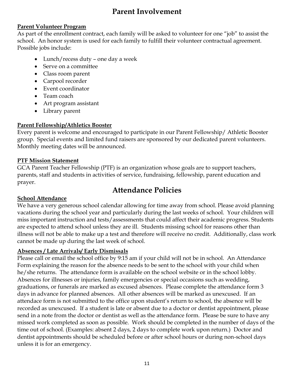## **Parent Involvement**

#### **Parent Volunteer Program**

As part of the enrollment contract, each family will be asked to volunteer for one "job" to assist the school. An honor system is used for each family to fulfill their volunteer contractual agreement. Possible jobs include:

- Lunch/recess duty one day a week
- Serve on a committee
- Class room parent
- Carpool recorder
- Event coordinator
- Team coach
- Art program assistant
- Library parent

#### **Parent Fellowship/Athletics Booster**

Every parent is welcome and encouraged to participate in our Parent Fellowship/ Athletic Booster group. Special events and limited fund raisers are sponsored by our dedicated parent volunteers. Monthly meeting dates will be announced.

#### **PTF Mission Statement**

GCA Parent Teacher Fellowship (PTF) is an organization whose goals are to support teachers, parents, staff and students in activities of service, fundraising, fellowship, parent education and prayer.

### **Attendance Policies**

#### **School Attendance**

We have a very generous school calendar allowing for time away from school. Please avoid planning vacations during the school year and particularly during the last weeks of school. Your children will miss important instruction and tests/assessments that could affect their academic progress. Students are expected to attend school unless they are ill. Students missing school for reasons other than illness will not be able to make up a test and therefore will receive no credit. Additionally, class work cannot be made up during the last week of school.

#### **Absences / Late Arrivals/ Early Dismissals**

Please call or email the school office by 9:15 am if your child will not be in school. An Attendance Form explaining the reason for the absence needs to be sent to the school with your child when he/she returns. The attendance form is available on the school website or in the school lobby. Absences for illnesses or injuries, family emergencies or special occasions such as wedding, graduations, or funerals are marked as excused absences. Please complete the attendance form 3 days in advance for planned absences. All other absences will be marked as unexcused. If an attendace form is not submitted to the office upon student's return to school, the absence will be recorded as unexcused. If a student is late or absent due to a doctor or dentist appointment, please send in a note from the doctor or dentist as well as the attendance form. Please be sure to have any missed work completed as soon as possible. Work should be completed in the number of days of the time out of school. (Examples: absent 2 days, 2 days to complete work upon return.) Doctor and dentist appointments should be scheduled before or after school hours or during non-school days unless it is for an emergency.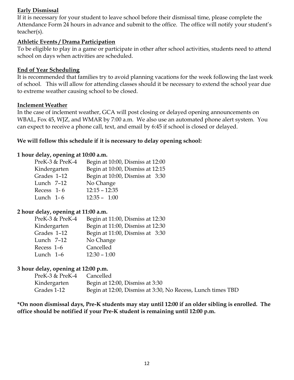#### **Early Dismissal**

If it is necessary for your student to leave school before their dismissal time, please complete the Attendance Form 24 hours in advance and submit to the office. The office will notify your student's teacher(s).

#### **Athletic Events / Drama Participation**

To be eligible to play in a game or participate in other after school activities, students need to attend school on days when activities are scheduled.

#### **End of Year Scheduling**

It is recommended that families try to avoid planning vacations for the week following the last week of school. This will allow for attending classes should it be necessary to extend the school year due to extreme weather causing school to be closed.

#### **Inclement Weather**

In the case of inclement weather, GCA will post closing or delayed opening announcements on WBAL, Fox 45, WJZ, and WMAR by 7:00 a.m. We also use an automated phone alert system. You can expect to receive a phone call, text, and email by 6:45 if school is closed or delayed.

#### **We will follow this schedule if it is necessary to delay opening school:**

#### **1 hour delay, opening at 10:00 a.m.**

| PreK-3 & PreK-4 | Begin at 10:00, Dismiss at 12:00 |
|-----------------|----------------------------------|
| Kindergarten    | Begin at 10:00, Dismiss at 12:15 |
| Grades 1-12     | Begin at 10:00, Dismiss at 3:30  |
| Lunch 7–12      | No Change                        |
| Recess 1-6      | $12:15 - 12:35$                  |
| Lunch 1-6       | $12:35 - 1:00$                   |

#### **2 hour delay, opening at 11:00 a.m.**

| Begin at $11:00$ , Dismiss at $12:30$ |
|---------------------------------------|
| Begin at 11:00, Dismiss at 12:30      |
| Begin at 11:00, Dismiss at 3:30       |
| No Change                             |
| Cancelled                             |
| $12:30 - 1:00$                        |
|                                       |

#### **3 hour delay, opening at 12:00 p.m.**

| PreK-3 & PreK-4 Cancelled |                                                             |
|---------------------------|-------------------------------------------------------------|
| Kindergarten              | Begin at 12:00, Dismiss at 3:30                             |
| Grades 1-12               | Begin at 12:00, Dismiss at 3:30, No Recess, Lunch times TBD |

#### **\*On noon dismissal days, Pre-K students may stay until 12:00 if an older sibling is enrolled. The office should be notified if your Pre-K student is remaining until 12:00 p.m.**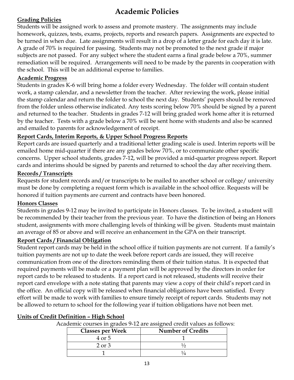## **Academic Policies**

#### **Grading Policies**

Students will be assigned work to assess and promote mastery. The assignments may include homework, quizzes, tests, exams, projects, reports and research papers. Assignments are expected to be turned in when due. Late assignments will result in a drop of a letter grade for each day it is late. A grade of 70% is required for passing. Students may not be promoted to the next grade if major subjects are not passed. For any subject where the student earns a final grade below a 70%, summer remediation will be required. Arrangements will need to be made by the parents in cooperation with the school. This will be an additional expense to families.

#### **Academic Progress**

Students in grades K-6 will bring home a folder every Wednesday. The folder will contain student work, a stamp calendar, and a newsletter from the teacher. After reviewing the work, please initial the stamp calendar and return the folder to school the next day. Students' papers should be removed from the folder unless otherwise indicated. Any tests scoring below 70% should be signed by a parent and returned to the teacher. Students in grades 7-12 will bring graded work home after it is returned by the teacher. Tests with a grade below a 70% will be sent home with students and also be scanned and emailed to parents for acknowledgement of receipt.

#### **Report Cards, Interim Reports, & Upper School Progress Reports**

Report cards are issued quarterly and a traditional letter grading scale is used. Interim reports will be emailed home mid-quarter if there are any grades below 70%, or to communicate other specific concerns. Upper school students, grades 7-12, will be provided a mid-quarter progress report. Report cards and interims should be signed by parents and returned to school the day after receiving them.

#### **Records / Transcripts**

Requests for student records and/or transcripts to be mailed to another school or college/ university must be done by completing a request form which is available in the school office. Requests will be honored if tuition payments are current and contracts have been honored.

#### **Honors Classes**

Students in grades 9-12 may be invited to participate in Honors classes. To be invited, a student will be recommended by their teacher from the previous year. To have the distinction of being an Honors student, assignments with more challenging levels of thinking will be given. Students must maintain an average of 85 or above and will receive an enhancement in the GPA on their transcript.

#### **Report Cards / Financial Obligation**

Student report cards may be held in the school office if tuition payments are not current. If a family's tuition payments are not up to date the week before report cards are issued, they will receive communication from one of the directors reminding them of their tuition status. It is expected that required payments will be made or a payment plan will be approved by the directors in order for report cards to be released to students. If a report card is not released, students will receive their report card envelope with a note stating that parents may view a copy of their child's report card in the office. An official copy will be released when financial obligations have been satisfied. Every effort will be made to work with families to ensure timely receipt of report cards. Students may not be allowed to return to school for the following year if tuition obligations have not been met.

#### **Units of Credit Definition – High School**

Academic courses in grades 9-12 are assigned credit values as follows:

| <b>Classes per Week</b> | <b>Number of Credits</b> |
|-------------------------|--------------------------|
| 4 or 5                  |                          |
| 2 or 3                  |                          |
|                         |                          |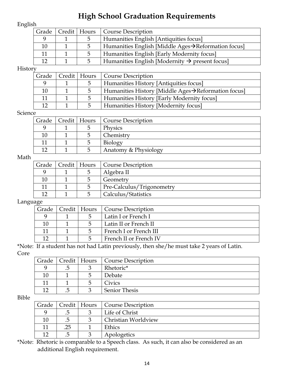## **High School Graduation Requirements**

#### English

| Grade | Credit   Hours | Course Description                                         |
|-------|----------------|------------------------------------------------------------|
|       | 5              | Humanities English [Antiquities focus]                     |
| 10    | 5              | Humanities English [Middle Ages->Reformation focus]        |
|       | 5              | Humanities English [Early Modernity focus]                 |
|       | 5              | Humanities English [Modernity $\rightarrow$ present focus] |

#### History

| Grade | Credit   Hours | Course Description                                 |
|-------|----------------|----------------------------------------------------|
|       | 5              | Humanities History [Antiquities focus]             |
| 10    | 5              | Humanities History [Middle Ages→Reformation focus] |
| 11    | 5              | Humanities History [Early Modernity focus]         |
|       | 5              | Humanities History [Modernity focus]               |

#### Science

| Grade | Credit   Hours |   | Course Description   |
|-------|----------------|---|----------------------|
|       |                | 5 | Physics              |
| 10    |                | 5 | Chemistry            |
|       |                | 5 | Biology              |
| 1 າ   |                | 片 | Anatomy & Physiology |

#### Math

|    | Grade   Credit   Hours |   | Course Description        |
|----|------------------------|---|---------------------------|
|    |                        | h | Algebra II                |
| 10 |                        | ל | Geometry                  |
|    |                        |   | Pre-Calculus/Trigonometry |
|    |                        | ∽ | Calculus/Statistics       |

#### Language

| Grade | Credit Hours |   | Course Description     |
|-------|--------------|---|------------------------|
|       |              | ∽ | Latin I or French I    |
| 10    |              | ∽ | Latin II or French II  |
|       |              | ∽ | French I or French III |
|       |              |   | French II or French IV |

#### \*Note: If a student has not had Latin previously, then she/he must take 2 years of Latin.

Core

| Grade |          | Credit   Hours | Course Description   |
|-------|----------|----------------|----------------------|
|       | ن.       |                | Rhetoric*            |
| 10    |          | ∽              | Debate               |
|       |          |                | Civics               |
|       | ∽<br>ے ۔ |                | <b>Senior Thesis</b> |

#### Bible

| Grade |          | Credit   Hours | Course Description  |
|-------|----------|----------------|---------------------|
|       | ∽<br>ں.  |                | Life of Christ      |
| 10    | ن.       |                | Christian Worldview |
|       | 25       |                | Ethics              |
|       | ∽<br>ے ۔ |                | Apologetics         |

\*Note: Rhetoric is comparable to a Speech class. As such, it can also be considered as an additional English requirement.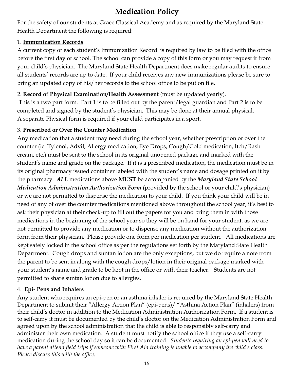## **Medication Policy**

For the safety of our students at Grace Classical Academy and as required by the Maryland State Health Department the following is required:

#### 1. **Immunization Records**

A current copy of each student's Immunization Record is required by law to be filed with the office before the first day of school. The school can provide a copy of this form or you may request it from your child's physician. The Maryland State Health Department does make regular audits to ensure all students' records are up to date. If your child receives any new immunizations please be sure to bring an updated copy of his/her records to the school office to be put on file.

#### 2. **Record of Physical Examination/Health Assessment** (must be updated yearly).

This is a two part form. Part 1 is to be filled out by the parent/legal guardian and Part 2 is to be completed and signed by the student's physician. This may be done at their annual physical. A separate Physical form is required if your child participates in a sport.

#### 3. **Prescribed or Over the Counter Medication**

Any medication that a student may need during the school year, whether prescription or over the counter (ie: Tylenol, Advil, Allergy medication, Eye Drops, Cough/Cold medication, Itch/Rash cream, etc.) must be sent to the school in its original unopened package and marked with the student's name and grade on the package. If it is a prescribed medication, the medication must be in its original pharmacy issued container labeled with the student's name and dosage printed on it by the pharmacy. *ALL* medications above **MUST** be accompanied by the *Maryland State School Medication Administration Authorization Form* (provided by the school or your child's physician) or we are not permitted to dispense the medication to your child. If you think your child will be in need of any of over the counter medications mentioned above throughout the school year, it's best to ask their physician at their check-up to fill out the papers for you and bring them in with those medications in the beginning of the school year so they will be on hand for your student, as we are not permitted to provide any medication or to dispense any medication without the authorization form from their physician. Please provide one form per medication per student. All medications are kept safely locked in the school office as per the regulations set forth by the Maryland State Health Department. Cough drops and suntan lotion are the only exceptions, but we do require a note from the parent to be sent in along with the cough drops/lotion in their original package marked with your student's name and grade to be kept in the office or with their teacher. Students are not permitted to share suntan lotion due to allergies.

#### 4. **Epi- Pens and Inhalers**

Any student who requires an epi-pen or an asthma inhaler is required by the Maryland State Health Department to submit their "Allergy Action Plan" (epi-pens)/ "Asthma Action Plan" (inhalers) from their child's doctor in addition to the Medication Administration Authorization Form. If a student is to self-carry it must be documented by the child's doctor on the Medication Administration Form and agreed upon by the school administration that the child is able to responsibly self-carry and administer their own medication. A student must notify the school office if they use a self-carry medication during the school day so it can be documented. *Students requiring an epi-pen will need to have a parent attend field trips if someone with First Aid training is unable to accompany the child's class. Please discuss this with the office.*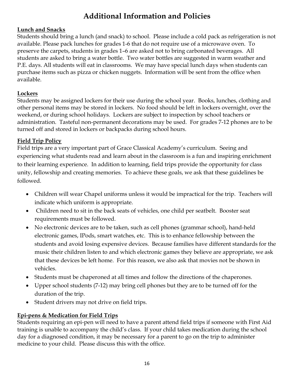## **Additional Information and Policies**

#### **Lunch and Snacks**

Students should bring a lunch (and snack) to school. Please include a cold pack as refrigeration is not available. Please pack lunches for grades 1-6 that do not require use of a microwave oven. To preserve the carpets, students in grades 1–6 are asked not to bring carbonated beverages. All students are asked to bring a water bottle. Two water bottles are suggested in warm weather and P.E. days. All students will eat in classrooms. We may have special lunch days when students can purchase items such as pizza or chicken nuggets. Information will be sent from the office when available.

#### **Lockers**

Students may be assigned lockers for their use during the school year. Books, lunches, clothing and other personal items may be stored in lockers. No food should be left in lockers overnight, over the weekend, or during school holidays. Lockers are subject to inspection by school teachers or administration. Tasteful non-permanent decorations may be used. For grades 7-12 phones are to be turned off and stored in lockers or backpacks during school hours.

#### **Field Trip Policy**

Field trips are a very important part of Grace Classical Academy's curriculum. Seeing and experiencing what students read and learn about in the classroom is a fun and inspiring enrichment to their learning experience. In addition to learning, field trips provide the opportunity for class unity, fellowship and creating memories. To achieve these goals, we ask that these guidelines be followed.

- Children will wear Chapel uniforms unless it would be impractical for the trip. Teachers will indicate which uniform is appropriate.
- Children need to sit in the back seats of vehicles, one child per seatbelt. Booster seat requirements must be followed.
- No electronic devices are to be taken, such as cell phones (grammar school), hand-held electronic games, IPods, smart watches, etc. This is to enhance fellowship between the students and avoid losing expensive devices. Because families have different standards for the music their children listen to and which electronic games they believe are appropriate, we ask that these devices be left home. For this reason, we also ask that movies not be shown in vehicles.
- Students must be chaperoned at all times and follow the directions of the chaperones.
- Upper school students (7-12) may bring cell phones but they are to be turned off for the duration of the trip.
- Student drivers may not drive on field trips.

#### **Epi-pens & Medication for Field Trips**

Students requiring an epi-pen will need to have a parent attend field trips if someone with First Aid training is unable to accompany the child's class. If your child takes medication during the school day for a diagnosed condition, it may be necessary for a parent to go on the trip to administer medicine to your child. Please discuss this with the office.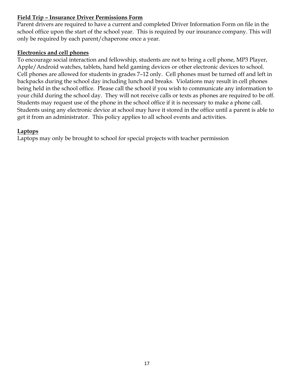#### **Field Trip – Insurance Driver Permissions Form**

Parent drivers are required to have a current and completed Driver Information Form on file in the school office upon the start of the school year. This is required by our insurance company. This will only be required by each parent/chaperone once a year.

#### **Electronics and cell phones**

To encourage social interaction and fellowship, students are not to bring a cell phone, MP3 Player, Apple/Android watches, tablets, hand held gaming devices or other electronic devices to school. Cell phones are allowed for students in grades 7–12 only. Cell phones must be turned off and left in backpacks during the school day including lunch and breaks. Violations may result in cell phones being held in the school office. Please call the school if you wish to communicate any information to your child during the school day. They will not receive calls or texts as phones are required to be off. Students may request use of the phone in the school office if it is necessary to make a phone call. Students using any electronic device at school may have it stored in the office until a parent is able to get it from an administrator. This policy applies to all school events and activities.

#### **Laptops**

Laptops may only be brought to school for special projects with teacher permission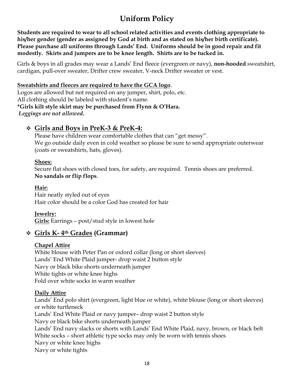## **Uniform Policy**

**Students are required to wear to all school related activities and events clothing appropriate to his/her gender (gender as assigned by God at birth and as stated on his/her birth certificate). Please purchase all uniforms through Lands' End. Uniforms should be in good repair and fit modestly. Skirts and jumpers are to be knee length. Shirts are to be tucked in.**

Girls & boys in all grades may wear a Lands' End fleece (evergreen or navy), **non-hooded** sweatshirt, cardigan, pull-over sweater, Drifter crew sweater, V-neck Drifter sweater or vest.

#### **Sweatshirts and fleeces are required to have the GCA logo**.

Logos are allowed but not required on any jumper, shirt, polo, etc. All clothing should be labeled with student's name. **\*Girls kilt style skirt may be purchased from Flynn & O'Hara.** *Leggings are not allowed***.** 

#### **Girls and Boys in PreK-3 & PreK-4:**

 Please have children wear comfortable clothes that can "get messy". We go outside daily even in cold weather so please be sure to send appropriate outerwear (coats or sweatshirts, hats, gloves).

#### **Shoes:**

Secure flat shoes with closed toes, for safety, are required. Tennis shoes are preferred. **No sandals or flip flops**.

#### **Hair:**

 Hair neatly styled out of eyes Hair color should be a color God has created for hair

#### **Jewelry:**

**Girls:** Earrings – post/stud style in lowest hole

#### **Girls K- 4th Grades (Grammar)**

#### **Chapel Attire**

White blouse with Peter Pan or oxford collar (long or short sleeves) Lands' End White Plaid jumper- drop waist 2 button style Navy or black bike shorts underneath jumper White tights or white knee highs Fold over white socks in warm weather

#### **Daily Attire**

Lands' End polo shirt (evergreen, light blue or white), white blouse (long or short sleeves) or white turtleneck

Lands' End White Plaid or navy jumper– drop waist 2 button style Navy or black bike shorts underneath jumper

Lands' End navy slacks or shorts with Lands' End White Plaid, navy, brown, or black belt White socks – short athletic type socks may only be worn with tennis shoes

Navy or white knee highs

Navy or white tights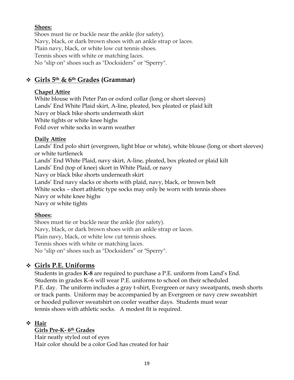#### **Shoes:**

Shoes must tie or buckle near the ankle (for safety). Navy, black, or dark brown shoes with an ankle strap or laces. Plain navy, black, or white low cut tennis shoes. Tennis shoes with white or matching laces. No "slip on" shoes such as "Docksiders" or "Sperry".

#### **Girls 5th & 6th Grades (Grammar)**

#### **Chapel Attire**

White blouse with Peter Pan or oxford collar (long or short sleeves) Lands' End White Plaid skirt, A-line, pleated, box pleated or plaid kilt Navy or black bike shorts underneath skirt White tights or white knee highs Fold over white socks in warm weather

#### **Daily Attire**

Lands' End polo shirt (evergreen, light blue or white), white blouse (long or short sleeves) or white turtleneck Lands' End White Plaid, navy skirt, A-line, pleated, box pleated or plaid kilt Lands' End (top of knee) skort in White Plaid, or navy Navy or black bike shorts underneath skirt Lands' End navy slacks or shorts with plaid, navy, black, or brown belt White socks – short athletic type socks may only be worn with tennis shoes Navy or white knee highs Navy or white tights

#### **Shoes:**

Shoes must tie or buckle near the ankle (for safety). Navy, black, or dark brown shoes with an ankle strap or laces. Plain navy, black, or white low cut tennis shoes. Tennis shoes with white or matching laces. No "slip on" shoes such as "Docksiders" or "Sperry".

#### **Girls P.E. Uniforms**

 Students in grades **K-8** are required to purchase a P.E. uniform from Land's End. Students in grades K–6 will wear P.E. uniforms to school on their scheduled P.E. day. The uniform includes a gray t-shirt, Evergreen or navy sweatpants, mesh shorts or track pants. Uniform may be accompanied by an Evergreen or navy crew sweatshirt or hooded pullover sweatshirt on cooler weather days. Students must wear tennis shoes with athletic socks. A modest fit is required.

#### **Hair**

#### **Girls Pre-K- 6th Grades**

 Hair neatly styled out of eyes Hair color should be a color God has created for hair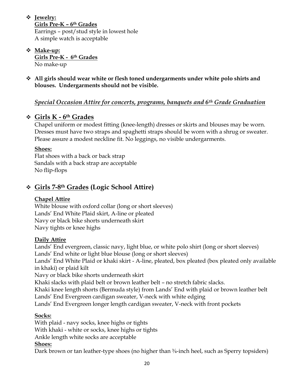**Jewelry: Girls Pre-K – 6th Grades**  Earrings – post/stud style in lowest hole A simple watch is acceptable

- **Make-up: Girls Pre-K - 6th Grades** No make-up
- **All girls should wear white or flesh toned undergarments under white polo shirts and blouses. Undergarments should not be visible.**

#### *Special Occasion Attire for concerts, programs, banquets and 6th Grade Graduation*

#### **Girls K - 6th Grades**

Chapel uniform or modest fitting (knee-length) dresses or skirts and blouses may be worn. Dresses must have two straps and spaghetti straps should be worn with a shrug or sweater. Please assure a modest neckline fit. No leggings, no visible undergarments.

#### **Shoes:**

Flat shoes with a back or back strap Sandals with a back strap are acceptable No flip-flops

#### **Girls 7-8th Grades (Logic School Attire)**

#### **Chapel Attire**

White blouse with oxford collar (long or short sleeves) Lands' End White Plaid skirt, A-line or pleated Navy or black bike shorts underneath skirt Navy tights or knee highs

#### **Daily Attire**

Lands' End evergreen, classic navy, light blue, or white polo shirt (long or short sleeves) Lands' End white or light blue blouse (long or short sleeves) Lands' End White Plaid or khaki skirt - A-line, pleated, box pleated (box pleated only available in khaki) or plaid kilt Navy or black bike shorts underneath skirt Khaki slacks with plaid belt or brown leather belt – no stretch fabric slacks. Khaki knee length shorts (Bermuda style) from Lands' End with plaid or brown leather belt Lands' End Evergreen cardigan sweater, V-neck with white edging Lands' End Evergreen longer length cardigan sweater, V-neck with front pockets

#### **Socks:**

With plaid - navy socks, knee highs or tights With khaki - white or socks, knee highs or tights Ankle length white socks are acceptable **Shoes:**

Dark brown or tan leather-type shoes (no higher than  $\frac{3}{4}$ -inch heel, such as Sperry topsiders)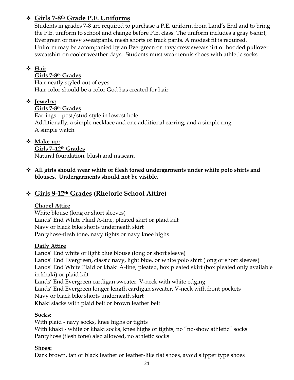#### **Girls 7-8th Grade P.E. Uniforms**

Students in grades 7-8 are required to purchase a P.E. uniform from Land's End and to bring the P.E. uniform to school and change before P.E. class. The uniform includes a gray t-shirt, Evergreen or navy sweatpants, mesh shorts or track pants. A modest fit is required. Uniform may be accompanied by an Evergreen or navy crew sweatshirt or hooded pullover sweatshirt on cooler weather days. Students must wear tennis shoes with athletic socks.

#### **Hair**

#### **Girls 7-8th Grades**

 Hair neatly styled out of eyes Hair color should be a color God has created for hair

#### **Jewelry:**

#### **Girls 7-8th Grades**

Earrings – post/stud style in lowest hole Additionally, a simple necklace and one additional earring, and a simple ring A simple watch

#### **Make-up:**

**Girls 7–12th Grades** Natural foundation, blush and mascara

 **All girls should wear white or flesh toned undergarments under white polo shirts and blouses. Undergarments should not be visible.** 

#### **Girls 9-12th Grades (Rhetoric School Attire)**

#### **Chapel Attire**

White blouse (long or short sleeves) Lands' End White Plaid A-line, pleated skirt or plaid kilt Navy or black bike shorts underneath skirt Pantyhose-flesh tone, navy tights or navy knee highs

#### **Daily Attire**

Lands' End white or light blue blouse (long or short sleeve) Lands' End Evergreen, classic navy, light blue, or white polo shirt (long or short sleeves) Lands' End White Plaid or khaki A-line, pleated, box pleated skirt (box pleated only available in khaki) or plaid kilt Lands' End Evergreen cardigan sweater, V-neck with white edging Lands' End Evergreen longer length cardigan sweater, V-neck with front pockets Navy or black bike shorts underneath skirt Khaki slacks with plaid belt or brown leather belt

#### **Socks:**

With plaid - navy socks, knee highs or tights With khaki - white or khaki socks, knee highs or tights, no "no-show athletic" socks Pantyhose (flesh tone) also allowed, no athletic socks

#### **Shoes:**

Dark brown, tan or black leather or leather-like flat shoes, avoid slipper type shoes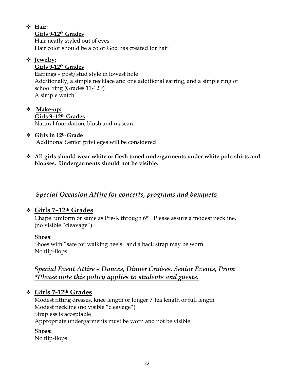#### **Hair:**

#### **Girls 9-12th Grades**

 Hair neatly styled out of eyes Hair color should be a color God has created for hair

#### **Jewelry:**

#### **Girls 9-12th Grades**

Earrings – post/stud style in lowest hole Additionally, a simple necklace and one additional earring, and a simple ring or school ring (Grades 11-12th) A simple watch

- **Make-up: Girls 9–12th Grades** Natural foundation, blush and mascara
- **Girls in 12th Grade**  Additional Senior privileges will be considered
- **All girls should wear white or flesh toned undergarments under white polo shirts and blouses. Undergarments should not be visible.**

#### *Special Occasion Attire for concerts, programs and banquets*

#### **Girls 7–12th Grades**

Chapel uniform or same as Pre-K through 6th. Please assure a modest neckline. (no visible "cleavage")

#### **Shoes**:

Shoes with "safe for walking heels" and a back strap may be worn. No flip-flops

#### *Special Event Attire – Dances, Dinner Cruises, Senior Events, Prom \*Please note this policy applies to students and guests.*

#### **Girls 7-12th Grades**

Modest fitting dresses, knee length or longer / tea length or full length Modest neckline (no visible "cleavage") Strapless is acceptable Appropriate undergarments must be worn and not be visible

#### **Shoes:**

No flip-flops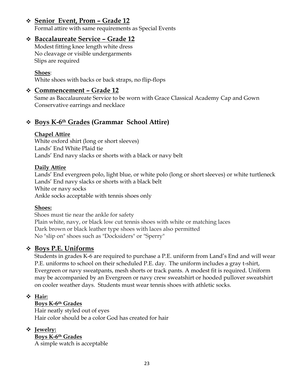#### **Senior Event, Prom – Grade 12**

Formal attire with same requirements as Special Events

#### **Baccalaureate Service – Grade 12**

Modest fitting knee length white dress No cleavage or visible undergarments Slips are required

#### **Shoes**:

White shoes with backs or back straps, no flip-flops

#### **Commencement – Grade 12**

Same as Baccalaureate Service to be worn with Grace Classical Academy Cap and Gown Conservative earrings and necklace

#### **Boys K-6th Grades (Grammar School Attire)**

#### **Chapel Attire**

White oxford shirt (long or short sleeves) Lands' End White Plaid tie Lands' End navy slacks or shorts with a black or navy belt

#### **Daily Attire**

Lands' End evergreen polo, light blue, or white polo (long or short sleeves) or white turtleneck Lands' End navy slacks or shorts with a black belt White or navy socks Ankle socks acceptable with tennis shoes only

#### **Shoes:**

 Shoes must tie near the ankle for safety Plain white, navy, or black low cut tennis shoes with white or matching laces Dark brown or black leather type shoes with laces also permitted No "slip on" shoes such as "Docksiders" or "Sperry"

#### **Boys P.E. Uniforms**

Students in grades K-6 are required to purchase a P.E. uniform from Land's End and will wear P.E. uniforms to school on their scheduled P.E. day. The uniform includes a gray t-shirt, Evergreen or navy sweatpants, mesh shorts or track pants. A modest fit is required. Uniform may be accompanied by an Evergreen or navy crew sweatshirt or hooded pullover sweatshirt on cooler weather days. Students must wear tennis shoes with athletic socks.

#### **Hair:**

#### **Boys K-6th Grades**

 Hair neatly styled out of eyes Hair color should be a color God has created for hair

#### **Jewelry:**

**Boys K-6th Grades**  A simple watch is acceptable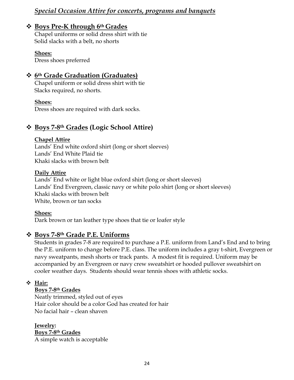#### *Special Occasion Attire for concerts, programs and banquets*

#### **Boys Pre-K through 6th Grades**

Chapel uniforms or solid dress shirt with tie Solid slacks with a belt, no shorts

#### **Shoes:**

Dress shoes preferred

#### **6th Grade Graduation (Graduates)**

Chapel uniform or solid dress shirt with tie Slacks required, no shorts.

#### **Shoes:**

Dress shoes are required with dark socks.

#### **Boys 7-8th Grades (Logic School Attire)**

#### **Chapel Attire**

Lands' End white oxford shirt (long or short sleeves) Lands' End White Plaid tie Khaki slacks with brown belt

#### **Daily Attire**

Lands' End white or light blue oxford shirt (long or short sleeves) Lands' End Evergreen, classic navy or white polo shirt (long or short sleeves) Khaki slacks with brown belt White, brown or tan socks

#### **Shoes:**

Dark brown or tan leather type shoes that tie or loafer style

#### **Boys 7-8th Grade P.E. Uniforms**

Students in grades 7-8 are required to purchase a P.E. uniform from Land's End and to bring the P.E. uniform to change before P.E. class. The uniform includes a gray t-shirt, Evergreen or navy sweatpants, mesh shorts or track pants. A modest fit is required. Uniform may be accompanied by an Evergreen or navy crew sweatshirt or hooded pullover sweatshirt on cooler weather days. Students should wear tennis shoes with athletic socks.

#### **Hair:**

#### **Boys 7-8th Grades**

 Neatly trimmed, styled out of eyes Hair color should be a color God has created for hair No facial hair – clean shaven

#### **Jewelry: Boys 7-8th Grades**  A simple watch is acceptable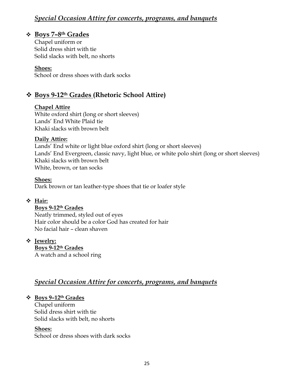#### *Special Occasion Attire for concerts, programs, and banquets*

#### **Boys 7–8th Grades**

Chapel uniform or Solid dress shirt with tie Solid slacks with belt, no shorts

#### **Shoes:**

School or dress shoes with dark socks

#### **Boys 9-12th Grades (Rhetoric School Attire)**

#### **Chapel Attire**

White oxford shirt (long or short sleeves) Lands' End White Plaid tie Khaki slacks with brown belt

#### **Daily Attire:**

Lands' End white or light blue oxford shirt (long or short sleeves) Lands' End Evergreen, classic navy, light blue, or white polo shirt (long or short sleeves) Khaki slacks with brown belt White, brown, or tan socks

#### **Shoes:**

Dark brown or tan leather-type shoes that tie or loafer style

#### **Hair:**

#### **Boys 9-12th Grades**

 Neatly trimmed, styled out of eyes Hair color should be a color God has created for hair No facial hair – clean shaven

#### **Jewelry:**

**Boys 9-12th Grades**

A watch and a school ring

#### *Special Occasion Attire for concerts, programs, and banquets*

#### **Boys 9–12th Grades**

Chapel uniform Solid dress shirt with tie Solid slacks with belt, no shorts

#### **Shoes:**

School or dress shoes with dark socks